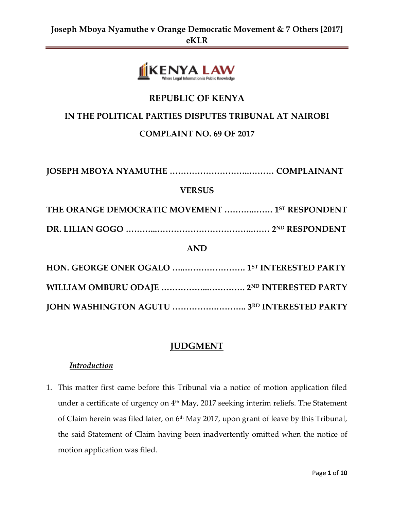

# **REPUBLIC OF KENYA**

### **IN THE POLITICAL PARTIES DISPUTES TRIBUNAL AT NAIROBI**

### **COMPLAINT NO. 69 OF 2017**

**JOSEPH MBOYA NYAMUTHE ………………………..……… COMPLAINANT**

### **VERSUS**

**THE ORANGE DEMOCRATIC MOVEMENT ………..……. 1 ST RESPONDENT**

**DR. LILIAN GOGO ………...……………………………..…… 2 ND RESPONDENT**

### **AND**

# **JUDGMENT**

### *Introduction*

1. This matter first came before this Tribunal via a notice of motion application filed under a certificate of urgency on 4<sup>th</sup> May, 2017 seeking interim reliefs. The Statement of Claim herein was filed later, on 6<sup>th</sup> May 2017, upon grant of leave by this Tribunal, the said Statement of Claim having been inadvertently omitted when the notice of motion application was filed.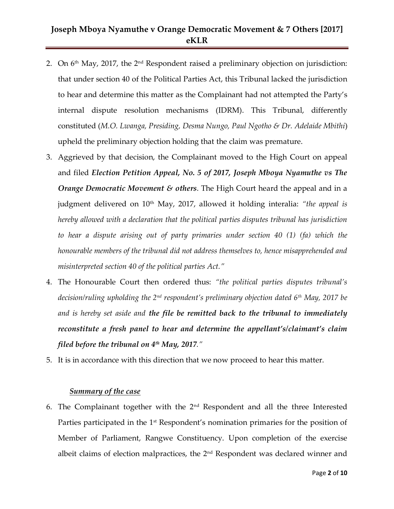- 2. On  $6<sup>th</sup>$  May, 2017, the  $2<sup>nd</sup>$  Respondent raised a preliminary objection on jurisdiction: that under section 40 of the Political Parties Act, this Tribunal lacked the jurisdiction to hear and determine this matter as the Complainant had not attempted the Party's internal dispute resolution mechanisms (IDRM). This Tribunal, differently constituted (*M.O. Lwanga, Presiding, Desma Nungo, Paul Ngotho & Dr. Adelaide Mbithi*) upheld the preliminary objection holding that the claim was premature.
- 3. Aggrieved by that decision, the Complainant moved to the High Court on appeal and filed *Election Petition Appeal, No. 5 of 2017, Joseph Mboya Nyamuthe vs The Orange Democratic Movement & others*. The High Court heard the appeal and in a judgment delivered on 10<sup>th</sup> May, 2017, allowed it holding interalia: "*the appeal is hereby allowed with a declaration that the political parties disputes tribunal has jurisdiction to hear a dispute arising out of party primaries under section 40 (1) (fa) which the honourable members of the tribunal did not address themselves to, hence misapprehended and misinterpreted section 40 of the political parties Act."*
- 4. The Honourable Court then ordered thus: *"the political parties disputes tribunal's decision/ruling upholding the 2nd respondent's preliminary objection dated 6th May, 2017 be and is hereby set aside and the file be remitted back to the tribunal to immediately reconstitute a fresh panel to hear and determine the appellant's/claimant's claim filed before the tribunal on 4th May, 2017."*
- 5. It is in accordance with this direction that we now proceed to hear this matter.

#### *Summary of the case*

6. The Complainant together with the 2nd Respondent and all the three Interested Parties participated in the 1<sup>st</sup> Respondent's nomination primaries for the position of Member of Parliament, Rangwe Constituency. Upon completion of the exercise albeit claims of election malpractices, the  $2<sup>nd</sup>$  Respondent was declared winner and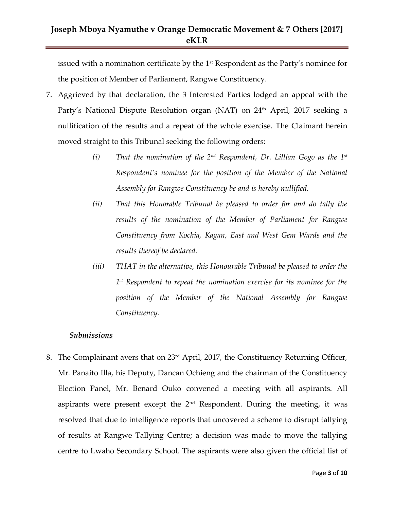issued with a nomination certificate by the 1<sup>st</sup> Respondent as the Party's nominee for the position of Member of Parliament, Rangwe Constituency.

- 7. Aggrieved by that declaration, the 3 Interested Parties lodged an appeal with the Party's National Dispute Resolution organ (NAT) on 24<sup>th</sup> April, 2017 seeking a nullification of the results and a repeat of the whole exercise. The Claimant herein moved straight to this Tribunal seeking the following orders:
	- *(i) That the nomination of the 2nd Respondent, Dr. Lillian Gogo as the 1st Respondent's nominee for the position of the Member of the National Assembly for Rangwe Constituency be and is hereby nullified.*
	- *(ii) That this Honorable Tribunal be pleased to order for and do tally the results of the nomination of the Member of Parliament for Rangwe Constituency from Kochia, Kagan, East and West Gem Wards and the results thereof be declared.*
	- *(iii) THAT in the alternative, this Honourable Tribunal be pleased to order the 1 st Respondent to repeat the nomination exercise for its nominee for the position of the Member of the National Assembly for Rangwe Constituency.*

#### *Submissions*

8. The Complainant avers that on 23<sup>rd</sup> April, 2017, the Constituency Returning Officer, Mr. Panaito Illa, his Deputy, Dancan Ochieng and the chairman of the Constituency Election Panel, Mr. Benard Ouko convened a meeting with all aspirants. All aspirants were present except the  $2<sup>nd</sup>$  Respondent. During the meeting, it was resolved that due to intelligence reports that uncovered a scheme to disrupt tallying of results at Rangwe Tallying Centre; a decision was made to move the tallying centre to Lwaho Secondary School. The aspirants were also given the official list of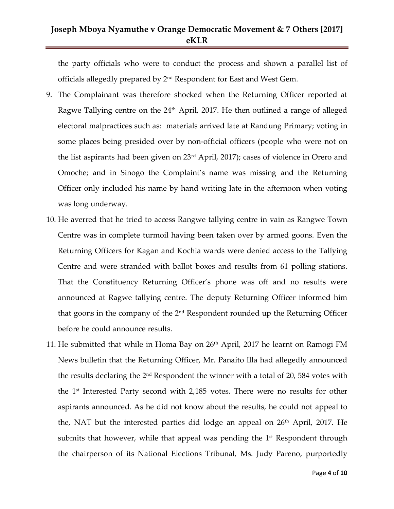the party officials who were to conduct the process and shown a parallel list of officials allegedly prepared by  $2<sup>nd</sup>$  Respondent for East and West Gem.

- 9. The Complainant was therefore shocked when the Returning Officer reported at Ragwe Tallying centre on the  $24<sup>th</sup>$  April, 2017. He then outlined a range of alleged electoral malpractices such as: materials arrived late at Randung Primary; voting in some places being presided over by non-official officers (people who were not on the list aspirants had been given on 23rd April, 2017); cases of violence in Orero and Omoche; and in Sinogo the Complaint's name was missing and the Returning Officer only included his name by hand writing late in the afternoon when voting was long underway.
- 10. He averred that he tried to access Rangwe tallying centre in vain as Rangwe Town Centre was in complete turmoil having been taken over by armed goons. Even the Returning Officers for Kagan and Kochia wards were denied access to the Tallying Centre and were stranded with ballot boxes and results from 61 polling stations. That the Constituency Returning Officer's phone was off and no results were announced at Ragwe tallying centre. The deputy Returning Officer informed him that goons in the company of the 2<sup>nd</sup> Respondent rounded up the Returning Officer before he could announce results.
- 11. He submitted that while in Homa Bay on 26<sup>th</sup> April, 2017 he learnt on Ramogi FM News bulletin that the Returning Officer, Mr. Panaito Illa had allegedly announced the results declaring the 2<sup>nd</sup> Respondent the winner with a total of 20, 584 votes with the 1 st Interested Party second with 2,185 votes. There were no results for other aspirants announced. As he did not know about the results, he could not appeal to the, NAT but the interested parties did lodge an appeal on  $26<sup>th</sup>$  April, 2017. He submits that however, while that appeal was pending the  $1<sup>st</sup>$  Respondent through the chairperson of its National Elections Tribunal, Ms. Judy Pareno, purportedly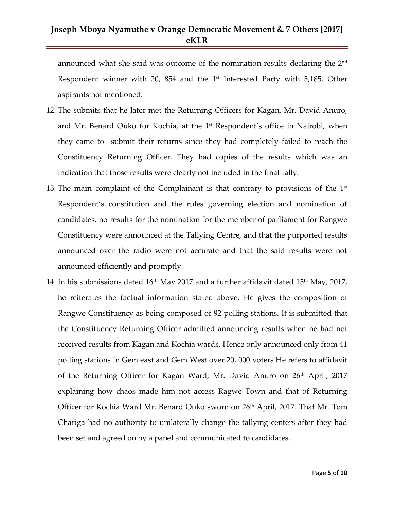announced what she said was outcome of the nomination results declaring the  $2^{\rm nd}$ Respondent winner with 20, 854 and the  $1<sup>st</sup>$  Interested Party with 5,185. Other aspirants not mentioned.

- 12. The submits that he later met the Returning Officers for Kagan, Mr. David Anuro, and Mr. Benard Ouko for Kochia, at the 1<sup>st</sup> Respondent's office in Nairobi, when they came to submit their returns since they had completely failed to reach the Constituency Returning Officer. They had copies of the results which was an indication that those results were clearly not included in the final tally.
- 13. The main complaint of the Complainant is that contrary to provisions of the  $1<sup>st</sup>$ Respondent's constitution and the rules governing election and nomination of candidates, no results for the nomination for the member of parliament for Rangwe Constituency were announced at the Tallying Centre, and that the purported results announced over the radio were not accurate and that the said results were not announced efficiently and promptly.
- 14. In his submissions dated  $16<sup>th</sup>$  May 2017 and a further affidavit dated  $15<sup>th</sup>$  May, 2017, he reiterates the factual information stated above. He gives the composition of Rangwe Constituency as being composed of 92 polling stations. It is submitted that the Constituency Returning Officer admitted announcing results when he had not received results from Kagan and Kochia wards. Hence only announced only from 41 polling stations in Gem east and Gem West over 20, 000 voters He refers to affidavit of the Returning Officer for Kagan Ward, Mr. David Anuro on 26<sup>th</sup> April, 2017 explaining how chaos made him not access Ragwe Town and that of Returning Officer for Kochia Ward Mr. Benard Ouko sworn on 26<sup>th</sup> April, 2017. That Mr. Tom Chariga had no authority to unilaterally change the tallying centers after they had been set and agreed on by a panel and communicated to candidates.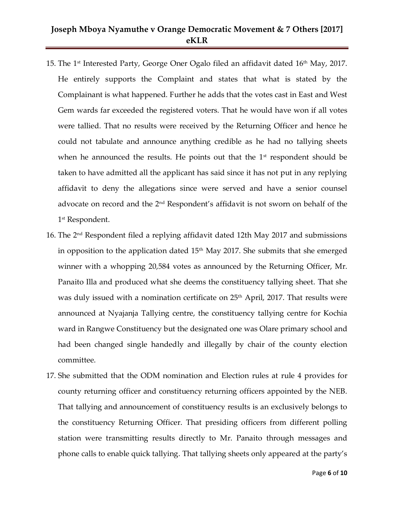- 15. The 1<sup>st</sup> Interested Party, George Oner Ogalo filed an affidavit dated 16<sup>th</sup> May, 2017. He entirely supports the Complaint and states that what is stated by the Complainant is what happened. Further he adds that the votes cast in East and West Gem wards far exceeded the registered voters. That he would have won if all votes were tallied. That no results were received by the Returning Officer and hence he could not tabulate and announce anything credible as he had no tallying sheets when he announced the results. He points out that the  $1<sup>st</sup>$  respondent should be taken to have admitted all the applicant has said since it has not put in any replying affidavit to deny the allegations since were served and have a senior counsel advocate on record and the  $2<sup>nd</sup>$  Respondent's affidavit is not sworn on behalf of the 1 st Respondent.
- 16. The 2nd Respondent filed a replying affidavit dated 12th May 2017 and submissions in opposition to the application dated  $15<sup>th</sup>$  May 2017. She submits that she emerged winner with a whopping 20,584 votes as announced by the Returning Officer, Mr. Panaito Illa and produced what she deems the constituency tallying sheet. That she was duly issued with a nomination certificate on 25<sup>th</sup> April, 2017. That results were announced at Nyajanja Tallying centre, the constituency tallying centre for Kochia ward in Rangwe Constituency but the designated one was Olare primary school and had been changed single handedly and illegally by chair of the county election committee.
- 17. She submitted that the ODM nomination and Election rules at rule 4 provides for county returning officer and constituency returning officers appointed by the NEB. That tallying and announcement of constituency results is an exclusively belongs to the constituency Returning Officer. That presiding officers from different polling station were transmitting results directly to Mr. Panaito through messages and phone calls to enable quick tallying. That tallying sheets only appeared at the party's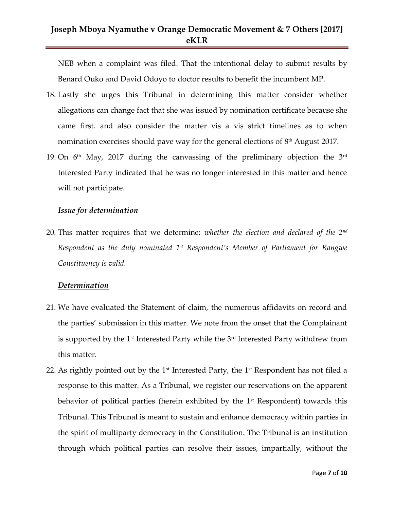NEB when a complaint was filed. That the intentional delay to submit results by Benard Ouko and David Odoyo to doctor results to benefit the incumbent MP.

- 18. Lastly she urges this Tribunal in determining this matter consider whether allegations can change fact that she was issued by nomination certificate because she came first. and also consider the matter vis a vis strict timelines as to when nomination exercises should pave way for the general elections of  $8<sup>th</sup>$  August 2017.
- 19. On  $6<sup>th</sup>$  May, 2017 during the canvassing of the preliminary objection the 3<sup>rd</sup> Interested Party indicated that he was no longer interested in this matter and hence will not participate.

#### *Issue for determination*

20. This matter requires that we determine: *whether the election and declared of the 2nd Respondent as the duly nominated 1st Respondent's Member of Parliament for Rangwe Constituency is valid.*

#### *Determination*

- 21. We have evaluated the Statement of claim, the numerous affidavits on record and the parties' submission in this matter. We note from the onset that the Complainant is supported by the  $1<sup>st</sup>$  Interested Party while the  $3<sup>rd</sup>$  Interested Party withdrew from this matter.
- 22. As rightly pointed out by the  $1<sup>st</sup>$  Interested Party, the  $1<sup>st</sup>$  Respondent has not filed a response to this matter. As a Tribunal, we register our reservations on the apparent behavior of political parties (herein exhibited by the 1<sup>st</sup> Respondent) towards this Tribunal. This Tribunal is meant to sustain and enhance democracy within parties in the spirit of multiparty democracy in the Constitution. The Tribunal is an institution through which political parties can resolve their issues, impartially, without the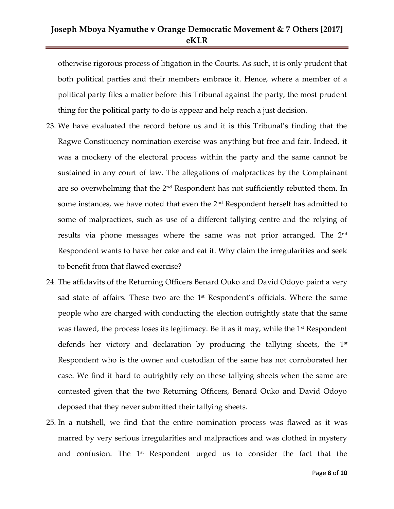otherwise rigorous process of litigation in the Courts. As such, it is only prudent that both political parties and their members embrace it. Hence, where a member of a political party files a matter before this Tribunal against the party, the most prudent thing for the political party to do is appear and help reach a just decision.

- 23. We have evaluated the record before us and it is this Tribunal's finding that the Ragwe Constituency nomination exercise was anything but free and fair. Indeed, it was a mockery of the electoral process within the party and the same cannot be sustained in any court of law. The allegations of malpractices by the Complainant are so overwhelming that the  $2<sup>nd</sup>$  Respondent has not sufficiently rebutted them. In some instances, we have noted that even the 2<sup>nd</sup> Respondent herself has admitted to some of malpractices, such as use of a different tallying centre and the relying of results via phone messages where the same was not prior arranged. The 2nd Respondent wants to have her cake and eat it. Why claim the irregularities and seek to benefit from that flawed exercise?
- 24. The affidavits of the Returning Officers Benard Ouko and David Odoyo paint a very sad state of affairs. These two are the  $1<sup>st</sup>$  Respondent's officials. Where the same people who are charged with conducting the election outrightly state that the same was flawed, the process loses its legitimacy. Be it as it may, while the  $1<sup>st</sup>$  Respondent defends her victory and declaration by producing the tallying sheets, the  $1<sup>st</sup>$ Respondent who is the owner and custodian of the same has not corroborated her case. We find it hard to outrightly rely on these tallying sheets when the same are contested given that the two Returning Officers, Benard Ouko and David Odoyo deposed that they never submitted their tallying sheets.
- 25. In a nutshell, we find that the entire nomination process was flawed as it was marred by very serious irregularities and malpractices and was clothed in mystery and confusion. The  $1<sup>st</sup>$  Respondent urged us to consider the fact that the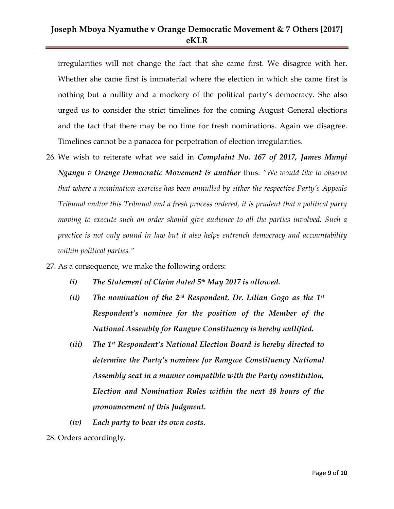irregularities will not change the fact that she came first. We disagree with her. Whether she came first is immaterial where the election in which she came first is nothing but a nullity and a mockery of the political party's democracy. She also urged us to consider the strict timelines for the coming August General elections and the fact that there may be no time for fresh nominations. Again we disagree. Timelines cannot be a panacea for perpetration of election irregularities.

- 26. We wish to reiterate what we said in *Complaint No. 167 of 2017, James Munyi Ngangu v Orange Democratic Movement & another* thus: *"We would like to observe that where a nomination exercise has been annulled by either the respective Party's Appeals Tribunal and/or this Tribunal and a fresh process ordered, it is prudent that a political party moving to execute such an order should give audience to all the parties involved. Such a practice is not only sound in law but it also helps entrench democracy and accountability within political parties."*
- 27. As a consequence, we make the following orders:
	- *(i) The Statement of Claim dated 5 th May 2017 is allowed.*
	- *(ii) The nomination of the 2nd Respondent, Dr. Lilian Gogo as the 1st Respondent's nominee for the position of the Member of the National Assembly for Rangwe Constituency is hereby nullified.*
	- *(iii) The 1st Respondent's National Election Board is hereby directed to determine the Party's nominee for Rangwe Constituency National Assembly seat in a manner compatible with the Party constitution, Election and Nomination Rules within the next 48 hours of the pronouncement of this Judgment.*
	- *(iv) Each party to bear its own costs.*

<sup>28.</sup> Orders accordingly.